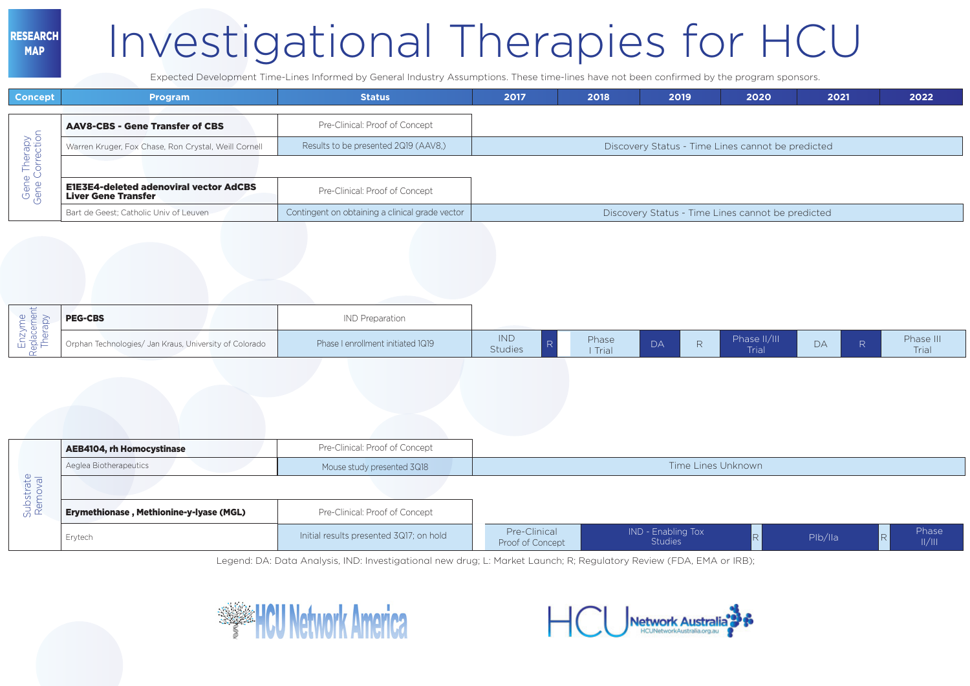## Investigational Therapies for HCU

Expected Development Time-Lines Informed by General Industry Assumptions. These time-lines have not been confirmed by the program sponsors.

| <b>Concept</b>                         | <b>Program</b>                                                              | <b>Status</b>                                   | 2017 | 2018 | 2019                                              | 2020 | 2021 | 2022 |
|----------------------------------------|-----------------------------------------------------------------------------|-------------------------------------------------|------|------|---------------------------------------------------|------|------|------|
| $\overline{\phantom{0}}$               | <b>AAV8-CBS - Gene Transfer of CBS</b>                                      | Pre-Clinical: Proof of Concept                  |      |      |                                                   |      |      |      |
| apy<br>voib                            | Warren Kruger, Fox Chase, Ron Crystal, Weill Cornell                        | Results to be presented 2Q19 (AAV8.)            |      |      | Discovery Status - Time Lines cannot be predicted |      |      |      |
| $\overline{\phantom{0}}$<br>$\vdash$ . |                                                                             |                                                 |      |      |                                                   |      |      |      |
| $\circ$<br>Gene<br>Gene                | <b>E1E3E4-deleted adenoviral vector AdCBS</b><br><b>Liver Gene Transfer</b> | Pre-Clinical: Proof of Concept                  |      |      |                                                   |      |      |      |
|                                        | Bart de Geest; Catholic Univ of Leuven                                      | Contingent on obtaining a clinical grade vector |      |      | Discovery Status - Time Lines cannot be predicted |      |      |      |

| ىسى<br>$\Phi$<br>ᅭ<br>$\sim$<br>w<br>$\overline{\phantom{0}}$<br>$\subseteq \frac{1}{2}$<br>—<br>ш ⋇ | <b>PEG-CBS</b>                                         | <b>IND</b> Preparation            |                       |                  |    |                       |    |                    |
|------------------------------------------------------------------------------------------------------|--------------------------------------------------------|-----------------------------------|-----------------------|------------------|----|-----------------------|----|--------------------|
|                                                                                                      | Orphan Technologies/ Jan Kraus, University of Colorado | Phase I enrollment initiated 1Q19 | <b>IND</b><br>Studies | Phase<br>I Trial | DA | Phase II/III<br>Trial | DА | Phase III<br>Trial |

|                      | <b>AEB4104, rh Homocystinase</b>        | Pre-Clinical: Proof of Concept          |                                  |                                      |         |              |  |  |  |  |
|----------------------|-----------------------------------------|-----------------------------------------|----------------------------------|--------------------------------------|---------|--------------|--|--|--|--|
| Substrate<br>Removal | Aeglea Biotherapeutics                  | Mouse study presented 3Q18              | Time Lines Unknown               |                                      |         |              |  |  |  |  |
|                      |                                         |                                         |                                  |                                      |         |              |  |  |  |  |
|                      | Erymethionase, Methionine-y-lyase (MGL) | Pre-Clinical: Proof of Concept          |                                  |                                      |         |              |  |  |  |  |
|                      | Erytech                                 | Initial results presented 3Q17; on hold | Pre-Clinical<br>Proof of Concept | IND - Enabling Tox<br><b>Studies</b> | Plb/lla | Phase<br>  / |  |  |  |  |

Legend: DA: Data Analysis, IND: Investigational new drug; L: Market Launch; R; Regulatory Review (FDA, EMA or IRB);



RESEARCH MAP